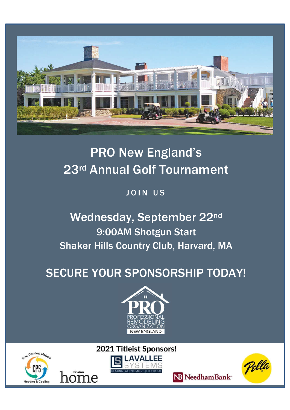

# PRO New England's 23rd Annual Golf Tournament

## JOIN US

# Wednesday, September 22nd 9:00AM Shotgun Start Shaker Hills Country Club, Harvard, MA

# SECURE YOUR SPONSORSHIP TODAY!



2021 Titleist Sponsors!







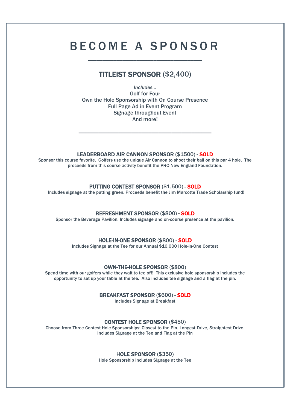## B E C O M E A S P O N S O R

\_\_\_\_\_\_\_\_\_\_\_\_\_\_\_\_\_\_\_\_\_\_\_\_\_\_\_\_\_\_\_\_\_\_\_\_\_\_\_\_

### TITLEIST SPONSOR (\$2,400)

*Includes…* Golf for Four Own the Hole Sponsorship with On Course Presence Full Page Ad in Event Program Signage throughout Event And more!

\_\_\_\_\_\_\_\_\_\_\_\_\_\_\_\_\_\_\_\_\_\_\_\_\_\_\_\_\_\_\_\_\_\_\_\_\_\_\_\_

**LEADERBOARD AIR CANNON SPONSOR (\$1500) - SOLD**<br>Sponsor this course favorite. Golfers use the unique Air Cannon to shoot their ball on this par 4 hole. The proceeds from this course activity benefit the PRO New England Foundation.

**PUTTING CONTEST SPONSOR (\$1,500) - SOLD**<br>Includes signage at the putting green. Proceeds benefit the Jim Marcotte Trade Scholarship fund!

REFRESHMENT SPONSOR (\$800) - SOLD<br>Sponsor the Beverage Pavilion. Includes signage and on-course presence at the pavilion.

HOLE-IN-ONE SPONSOR (\$800) - SOLD Includes Signage at the Tee for our Annual \$10,000 Hole-in-One Contest

**OWN-THE-HOLE SPONSOR (\$800)**<br>Spend time with our golfers while they wait to tee off! This exclusive hole sponsorship includes the opportunity to set up your table at the tee. Also includes tee signage and a flag at the pin.

## **BREAKFAST SPONSOR (\$600) - SOLD**<br>Includes Signage at Breakfast

**CONTEST HOLE SPONSOR (\$450)**<br>Choose from Three Contest Hole Sponsorships: Closest to the Pin, Longest Drive, Straightest Drive. Includes Signage at the Tee and Flag at the Pin

**HOLE SPONSOR (\$350)**<br>Hole Sponsorship Includes Signage at the Tee